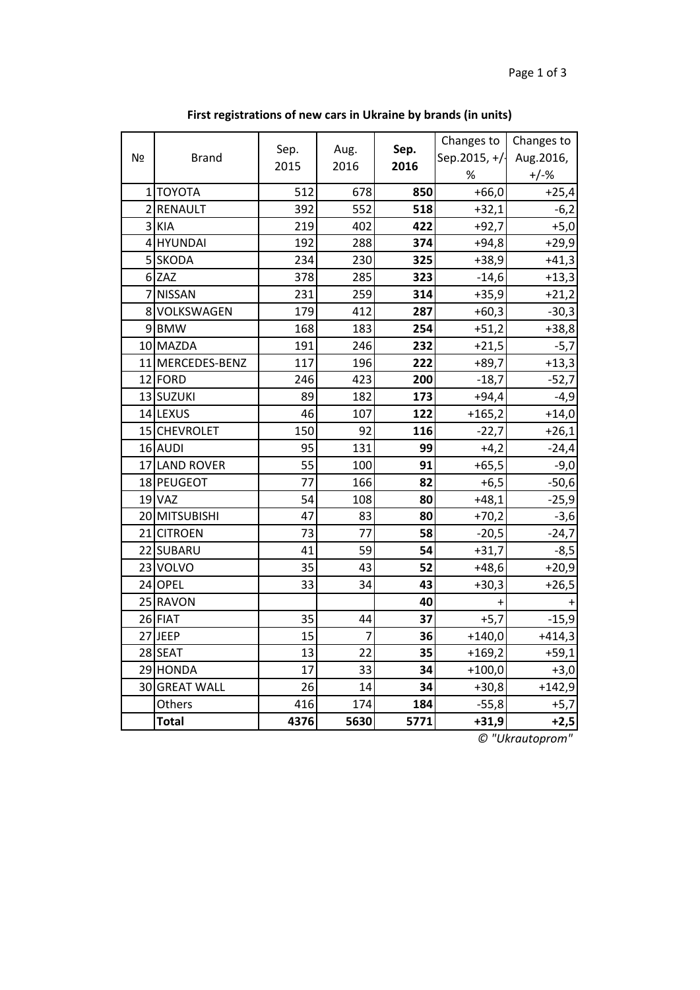| N <sub>Ω</sub> | <b>Brand</b>     | Sep. | Aug.<br>Sep.   | Changes to<br>Sep.2015, +/- | Changes to<br>Aug.2016, |          |
|----------------|------------------|------|----------------|-----------------------------|-------------------------|----------|
|                |                  | 2015 | 2016           | 2016                        | %                       | $+/-%$   |
|                | 1 ΤΟΥΟΤΑ         | 512  | 678            | 850                         | $+66,0$                 | $+25,4$  |
|                | 2 RENAULT        | 392  | 552            | 518                         | $+32,1$                 | $-6,2$   |
|                | 3 KIA            | 219  | 402            | 422                         | $+92,7$                 | $+5,0$   |
|                | 4 HYUNDAI        | 192  | 288            | 374                         | $+94,8$                 | $+29,9$  |
|                | 5 SKODA          | 234  | 230            | 325                         | $+38,9$                 | $+41,3$  |
|                | 6 ZAZ            | 378  | 285            | 323                         | $-14,6$                 | $+13,3$  |
|                | 7 NISSAN         | 231  | 259            | 314                         | $+35,9$                 | $+21,2$  |
|                | 8 VOLKSWAGEN     | 179  | 412            | 287                         | $+60,3$                 | $-30,3$  |
|                | 9BMW             | 168  | 183            | 254                         | $+51,2$                 | $+38,8$  |
|                | 10 MAZDA         | 191  | 246            | 232                         | $+21,5$                 | $-5,7$   |
|                | 11 MERCEDES-BENZ | 117  | 196            | 222                         | $+89,7$                 | $+13,3$  |
|                | 12 FORD          | 246  | 423            | 200                         | $-18,7$                 | $-52,7$  |
|                | 13 SUZUKI        | 89   | 182            | 173                         | $+94,4$                 | $-4,9$   |
|                | 14 LEXUS         | 46   | 107            | 122                         | $+165,2$                | $+14,0$  |
|                | 15 CHEVROLET     | 150  | 92             | 116                         | $-22,7$                 | $+26,1$  |
|                | 16 AUDI          | 95   | 131            | 99                          | $+4,2$                  | $-24,4$  |
|                | 17 LAND ROVER    | 55   | 100            | 91                          | $+65,5$                 | $-9,0$   |
|                | 18 PEUGEOT       | 77   | 166            | 82                          | $+6,5$                  | $-50,6$  |
|                | <b>19 VAZ</b>    | 54   | 108            | 80                          | $+48,1$                 | $-25,9$  |
|                | 20 MITSUBISHI    | 47   | 83             | 80                          | $+70,2$                 | $-3,6$   |
|                | 21 CITROEN       | 73   | 77             | 58                          | $-20,5$                 | $-24,7$  |
|                | 22 SUBARU        | 41   | 59             | 54                          | $+31,7$                 | $-8,5$   |
|                | 23 VOLVO         | 35   | 43             | 52                          | $+48,6$                 | $+20,9$  |
|                | 24 OPEL          | 33   | 34             | 43                          | $+30,3$                 | $+26,5$  |
|                | 25 RAVON         |      |                | 40                          | $+$                     |          |
|                | 26 FIAT          | 35   | 44             | 37                          | $+5,7$                  | $-15,9$  |
|                | 27 JEEP          | 15   | $\overline{7}$ | 36                          | $+140,0$                | $+414,3$ |
|                | 28 SEAT          | 13   | 22             | 35                          | $+169,2$                | $+59,1$  |
|                | 29 HONDA         | 17   | 33             | 34                          | $+100,0$                | $+3,0$   |
|                | 30 GREAT WALL    | 26   | 14             | 34                          | $+30,8$                 | $+142,9$ |
|                | Others           | 416  | 174            | 184                         | $-55,8$                 | $+5,7$   |
|                | <b>Total</b>     | 4376 | 5630           | 5771                        | $+31,9$                 | $+2,5$   |

**First registrations of new cars in Ukraine by brands (in units)**

*© "Ukrautoprom"*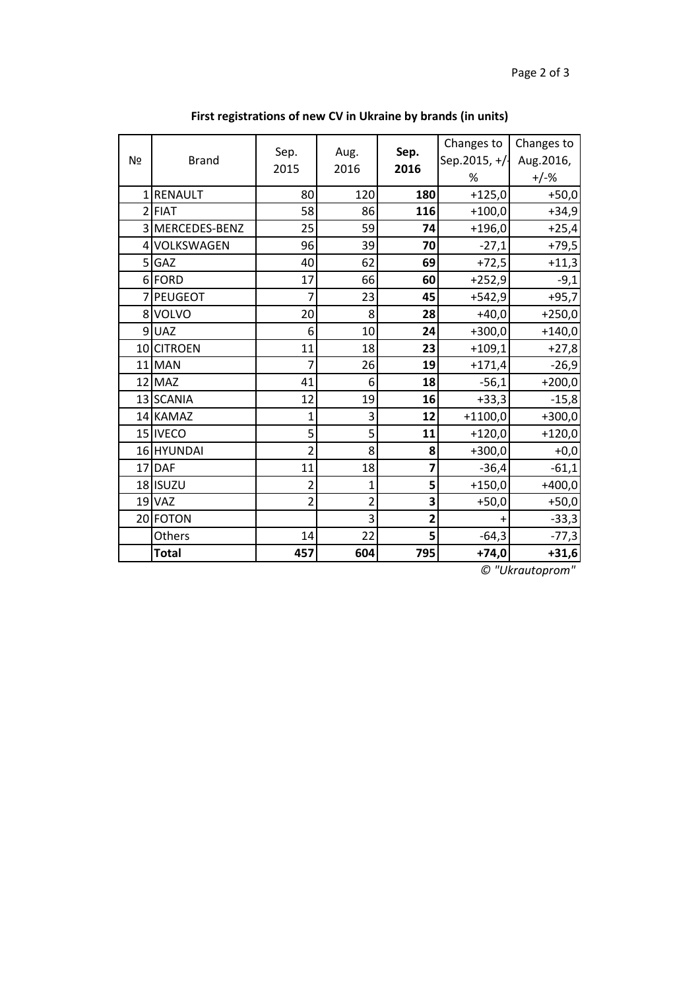| N <u>∘</u>     | <b>Brand</b>   | Sep.<br>2015   | Aug.<br>2016   | Sep.<br>2016   | Changes to<br>Sep.2015, +/-<br>% | Changes to<br>Aug.2016,<br>$+/-%$ |
|----------------|----------------|----------------|----------------|----------------|----------------------------------|-----------------------------------|
| 1 <sup>1</sup> | <b>RENAULT</b> | 80             | 120            | 180            | $+125,0$                         | $+50,0$                           |
|                | $2$ FIAT       | 58             | 86             | 116            | $+100,0$                         | $+34,9$                           |
| $\overline{3}$ | MERCEDES-BENZ  | 25             | 59             | 74             | $+196,0$                         | $+25,4$                           |
|                | 4 VOLKSWAGEN   | 96             | 39             | 70             | $-27,1$                          | $+79,5$                           |
| 5 <sup>1</sup> | GAZ            | 40             | 62             | 69             | $+72,5$                          | $+11,3$                           |
|                | 6 FORD         | 17             | 66             | 60             | $+252,9$                         | $-9,1$                            |
| $\overline{7}$ | <b>PEUGEOT</b> | 7              | 23             | 45             | $+542,9$                         | $+95,7$                           |
|                | 8 VOLVO        | 20             | 8              | 28             | $+40,0$                          | $+250,0$                          |
| 9              | <b>UAZ</b>     | 6              | 10             | 24             | $+300,0$                         | $+140,0$                          |
|                | 10 CITROEN     | 11             | 18             | 23             | $+109,1$                         | $+27,8$                           |
|                | $11$ MAN       | 7              | 26             | 19             | $+171,4$                         | $-26,9$                           |
|                | $12$ MAZ       | 41             | 6              | 18             | $-56,1$                          | $+200,0$                          |
|                | 13 SCANIA      | 12             | 19             | 16             | $+33,3$                          | $-15,8$                           |
|                | 14 KAMAZ       | 1              | 3              | 12             | $+1100,0$                        | $+300,0$                          |
|                | 15 IVECO       | 5              | 5              | 11             | $+120,0$                         | $+120,0$                          |
|                | 16 HYUNDAI     | $\overline{2}$ | 8              | 8              | $+300,0$                         | $+0,0$                            |
|                | $17$ $DAF$     | 11             | 18             | 7              | $-36,4$                          | $-61,1$                           |
|                | 18 ISUZU       | 2              | 1              | 5              | $+150,0$                         | $+400,0$                          |
|                | $19$ VAZ       | $\overline{2}$ | $\overline{2}$ | 3              | $+50,0$                          | $+50,0$                           |
|                | 20 FOTON       |                | 3              | $\overline{2}$ | +                                | $-33,3$                           |
|                | Others         | 14             | 22             | 5              | $-64,3$                          | $-77,3$                           |
|                | <b>Total</b>   | 457            | 604            | 795            | $+74,0$                          | $+31,6$                           |

**First registrations of new CV in Ukraine by brands (in units)**

*© "Ukrautoprom"*